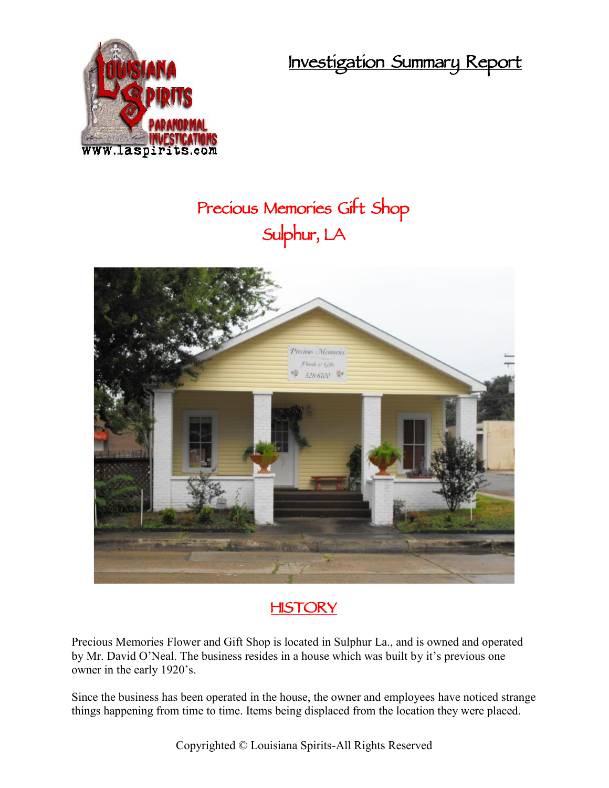**Investigation Summary Report**



## **Precious Memories Gift Shop Sulphur, LA**



## **HISTORY**

Precious Memories Flower and Gift Shop is located in Sulphur La., and is owned and operated by Mr. David O'Neal. The business resides in a house which was built by it's previous one owner in the early 1920's.

Since the business has been operated in the house, the owner and employees have noticed strange things happening from time to time. Items being displaced from the location they were placed.

Copyrighted © Louisiana Spirits-All Rights Reserved